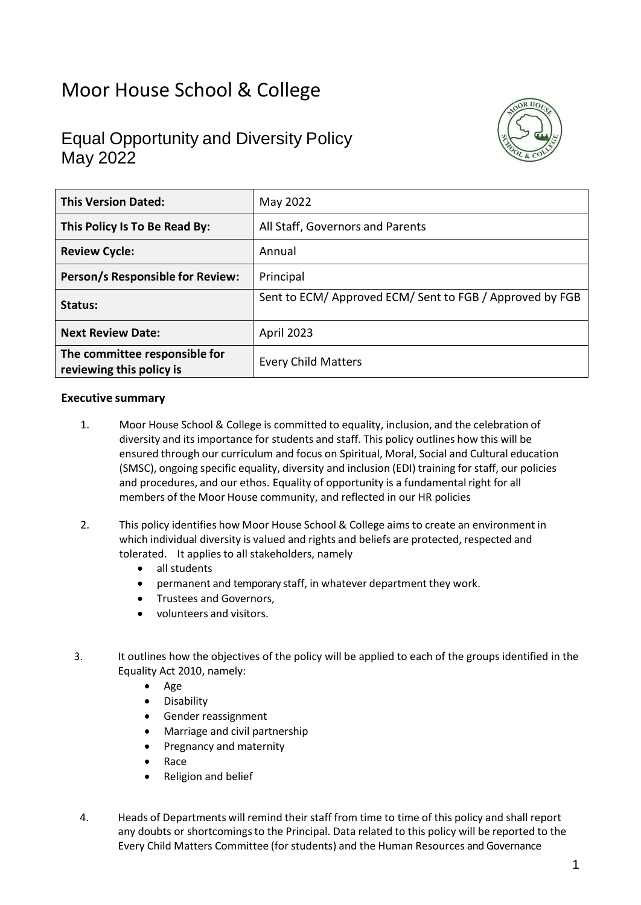# Moor House School & College

# Equal Opportunity and Diversity Policy May 2022



| <b>This Version Dated:</b>                                | May 2022                                                 |
|-----------------------------------------------------------|----------------------------------------------------------|
| This Policy Is To Be Read By:                             | All Staff, Governors and Parents                         |
| <b>Review Cycle:</b>                                      | Annual                                                   |
| Person/s Responsible for Review:                          | Principal                                                |
| Status:                                                   | Sent to ECM/ Approved ECM/ Sent to FGB / Approved by FGB |
| <b>Next Review Date:</b>                                  | April 2023                                               |
| The committee responsible for<br>reviewing this policy is | <b>Every Child Matters</b>                               |

#### **Executive summary**

- 1. Moor House School & College is committed to equality, inclusion, and the celebration of diversity and its importance for students and staff. This policy outlines how this will be ensured through our curriculum and focus on Spiritual, Moral, Social and Cultural education (SMSC), ongoing specific equality, diversity and inclusion (EDI) training for staff, our policies and procedures, and our ethos. Equality of opportunity is a fundamental right for all members of the Moor House community, and reflected in our HR policies
- 2. This policy identifies how Moor House School & College aims to create an environment in which individual diversity is valued and rights and beliefs are protected, respected and tolerated. It applies to all stakeholders, namely
	- all students
	- permanent and temporary staff, in whatever department they work.
	- Trustees and Governors,
	- volunteers and visitors.
- 3. It outlines how the objectives of the policy will be applied to each of the groups identified in the Equality Act 2010, namely:
	- Age
	- Disability
	- Gender reassignment
	- Marriage and civil partnership
	- Pregnancy and maternity
	- Race
	- Religion and belief
- 4. Heads of Departments will remind their staff from time to time of this policy and shall report any doubts or shortcomings to the Principal. Data related to this policy will be reported to the Every Child Matters Committee (forstudents) and the Human Resources and Governance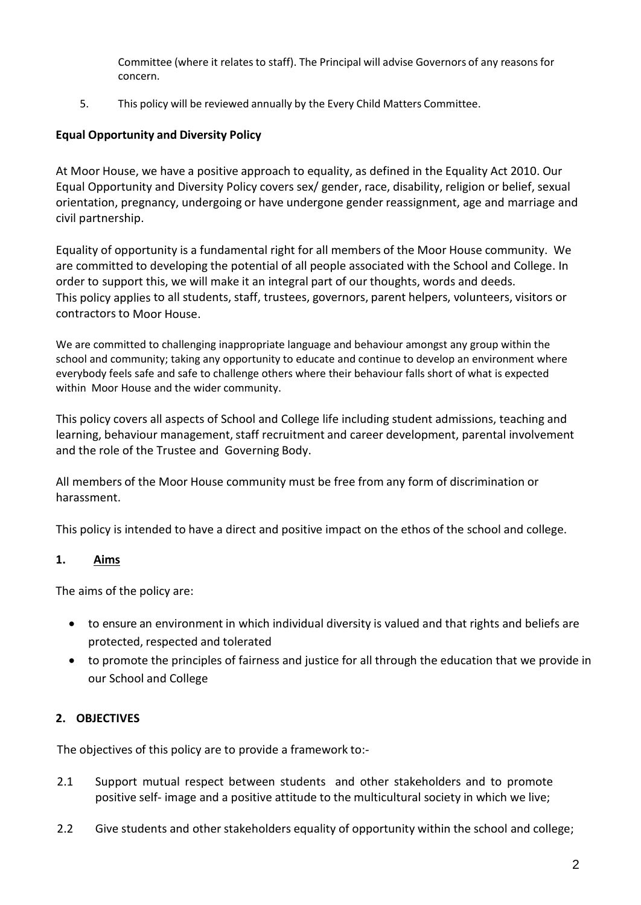Committee (where it relates to staff). The Principal will advise Governors of any reasons for concern.

5. This policy will be reviewed annually by the Every Child Matters Committee.

# **Equal Opportunity and Diversity Policy**

At Moor House, we have a positive approach to equality, as defined in the Equality Act 2010. Our Equal Opportunity and Diversity Policy covers sex/ gender, race, disability, religion or belief, sexual orientation, pregnancy, undergoing or have undergone gender reassignment, age and marriage and civil partnership.

Equality of opportunity is a fundamental right for all members of the Moor House community. We are committed to developing the potential of all people associated with the School and College. In order to support this, we will make it an integral part of our thoughts, words and deeds. This policy applies to all students, staff, trustees, governors, parent helpers, volunteers, visitors or contractors to Moor House.

We are committed to challenging inappropriate language and behaviour amongst any group within the school and community; taking any opportunity to educate and continue to develop an environment where everybody feels safe and safe to challenge others where their behaviour falls short of what is expected within Moor House and the wider community.

This policy covers all aspects of School and College life including student admissions, teaching and learning, behaviour management, staff recruitment and career development, parental involvement and the role of the Trustee and Governing Body.

All members of the Moor House community must be free from any form of discrimination or harassment.

This policy is intended to have a direct and positive impact on the ethos of the school and college.

# **1. Aims**

The aims of the policy are:

- to ensure an environment in which individual diversity is valued and that rights and beliefs are protected, respected and tolerated
- to promote the principles of fairness and justice for all through the education that we provide in our School and College

# **2. OBJECTIVES**

The objectives of this policy are to provide a framework to:-

- 2.1 Support mutual respect between students and other stakeholders and to promote positive self- image and a positive attitude to the multicultural society in which we live;
- 2.2 Give students and other stakeholders equality of opportunity within the school and college;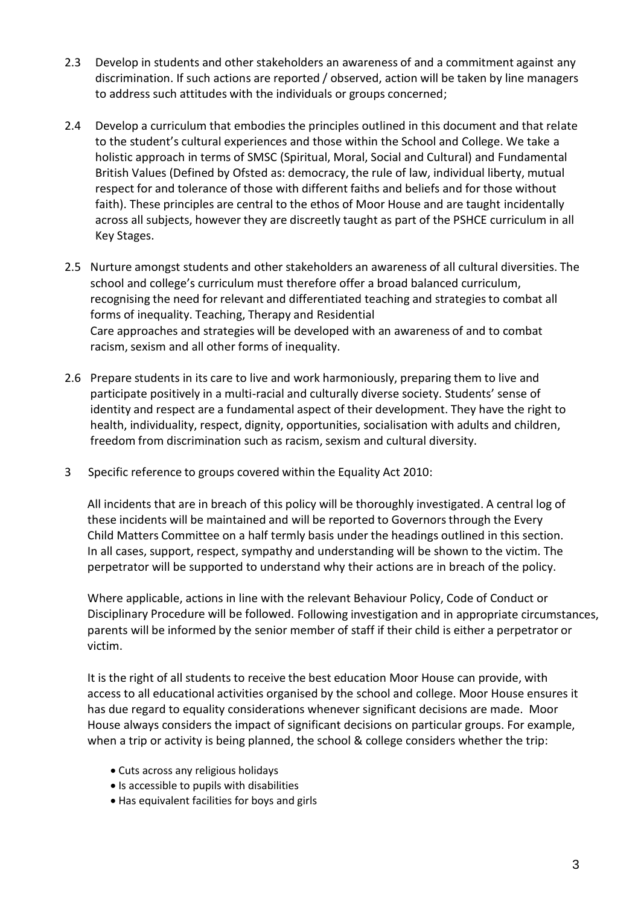- 2.3 Develop in students and other stakeholders an awareness of and a commitment against any discrimination. If such actions are reported / observed, action will be taken by line managers to address such attitudes with the individuals or groups concerned;
- 2.4 Develop a curriculum that embodies the principles outlined in this document and that relate to the student's cultural experiences and those within the School and College. We take a holistic approach in terms of SMSC (Spiritual, Moral, Social and Cultural) and Fundamental British Values (Defined by Ofsted as: democracy, the rule of law, individual liberty, mutual respect for and tolerance of those with different faiths and beliefs and for those without faith). These principles are central to the ethos of Moor House and are taught incidentally across all subjects, however they are discreetly taught as part of the PSHCE curriculum in all Key Stages.
- 2.5 Nurture amongst students and other stakeholders an awareness of all cultural diversities. The school and college's curriculum must therefore offer a broad balanced curriculum, recognising the need for relevant and differentiated teaching and strategiesto combat all forms of inequality. Teaching, Therapy and Residential Care approaches and strategies will be developed with an awareness of and to combat racism, sexism and all other forms of inequality.
- 2.6 Prepare students in its care to live and work harmoniously, preparing them to live and participate positively in a multi-racial and culturally diverse society. Students' sense of identity and respect are a fundamental aspect of their development. They have the right to health, individuality, respect, dignity, opportunities, socialisation with adults and children, freedom from discrimination such as racism, sexism and cultural diversity.
- 3 Specific reference to groups covered within the Equality Act 2010:

All incidents that are in breach of this policy will be thoroughly investigated. A central log of these incidents will be maintained and will be reported to Governorsthrough the Every Child Matters Committee on a half termly basis under the headings outlined in this section. In all cases, support, respect, sympathy and understanding will be shown to the victim. The perpetrator will be supported to understand why their actions are in breach of the policy.

Where applicable, actions in line with the relevant Behaviour Policy, Code of Conduct or Disciplinary Procedure will be followed. Following investigation and in appropriate circumstances, parents will be informed by the senior member of staff if their child is either a perpetrator or victim.

It is the right of all students to receive the best education Moor House can provide, with access to all educational activities organised by the school and college. Moor House ensures it has due regard to equality considerations whenever significant decisions are made. Moor House always considers the impact of significant decisions on particular groups. For example, when a trip or activity is being planned, the school & college considers whether the trip:

- Cuts across any religious holidays
- Is accessible to pupils with disabilities
- Has equivalent facilities for boys and girls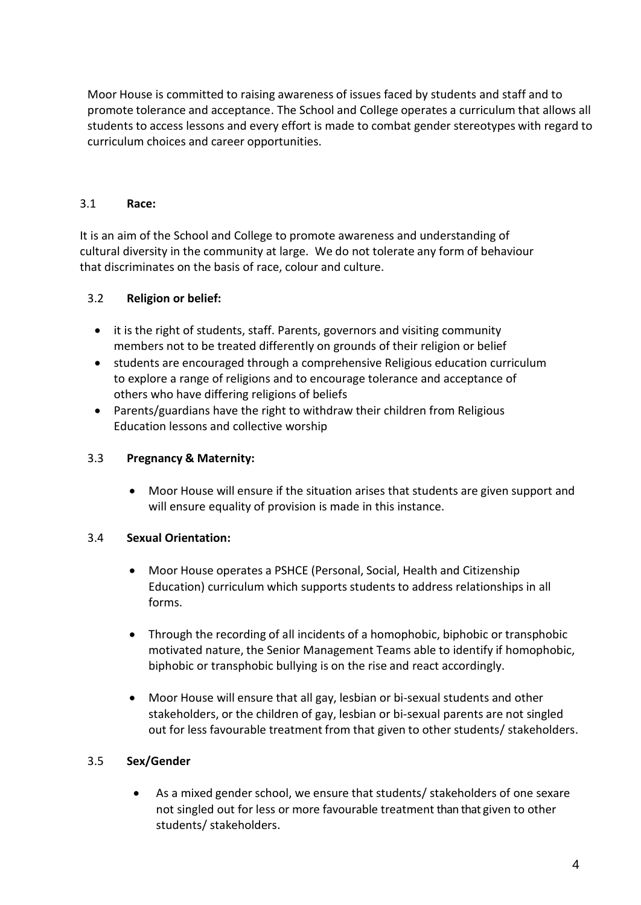Moor House is committed to raising awareness of issues faced by students and staff and to promote tolerance and acceptance. The School and College operates a curriculum that allows all students to access lessons and every effort is made to combat gender stereotypes with regard to curriculum choices and career opportunities.

#### 3.1 **Race:**

It is an aim of the School and College to promote awareness and understanding of cultural diversity in the community at large. We do not tolerate any form of behaviour that discriminates on the basis of race, colour and culture.

#### 3.2 **Religion or belief:**

- it is the right of students, staff. Parents, governors and visiting community members not to be treated differently on grounds of their religion or belief
- students are encouraged through a comprehensive Religious education curriculum to explore a range of religions and to encourage tolerance and acceptance of others who have differing religions of beliefs
- Parents/guardians have the right to withdraw their children from Religious Education lessons and collective worship

#### 3.3 **Pregnancy & Maternity:**

• Moor House will ensure if the situation arises that students are given support and will ensure equality of provision is made in this instance.

#### 3.4 **Sexual Orientation:**

- Moor House operates a PSHCE (Personal, Social, Health and Citizenship Education) curriculum which supports students to address relationships in all forms.
- Through the recording of all incidents of a homophobic, biphobic or transphobic motivated nature, the Senior Management Teams able to identify if homophobic, biphobic or transphobic bullying is on the rise and react accordingly.
- Moor House will ensure that all gay, lesbian or bi-sexual students and other stakeholders, or the children of gay, lesbian or bi-sexual parents are not singled out for less favourable treatment from that given to other students/ stakeholders.

#### 3.5 **Sex/Gender**

• As a mixed gender school, we ensure that students/ stakeholders of one sexare not singled out for less or more favourable treatment than that given to other students/ stakeholders.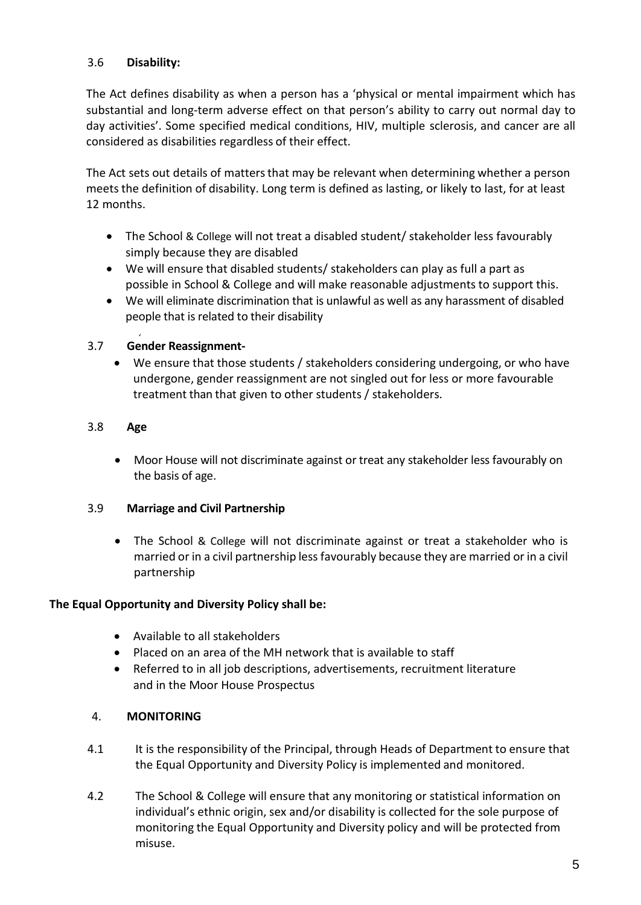## 3.6 **Disability:**

The Act defines disability as when a person has a 'physical or mental impairment which has substantial and long-term adverse effect on that person's ability to carry out normal day to day activities'. Some specified medical conditions, HIV, multiple sclerosis, and cancer are all considered as disabilities regardless of their effect.

The Act sets out details of matters that may be relevant when determining whether a person meets the definition of disability. Long term is defined as lasting, or likely to last, for at least 12 months.

- The School & College will not treat a disabled student/ stakeholder less favourably simply because they are disabled
- We will ensure that disabled students/ stakeholders can play as full a part as possible in School & College and will make reasonable adjustments to support this.
- We will eliminate discrimination that is unlawful as well as any harassment of disabled people that is related to their disability

## 3.7 **Gender Reassignment-**

• We ensure that those students / stakeholders considering undergoing, or who have undergone, gender reassignment are not singled out for less or more favourable treatment than that given to other students / stakeholders.

#### 3.8 **Age**

• Moor House will not discriminate against or treat any stakeholder less favourably on the basis of age.

#### 3.9 **Marriage and Civil Partnership**

• The School & College will not discriminate against or treat a stakeholder who is married or in a civil partnership less favourably because they are married or in a civil partnership

#### **The Equal Opportunity and Diversity Policy shall be:**

- Available to all stakeholders
- Placed on an area of the MH network that is available to staff
- Referred to in all job descriptions, advertisements, recruitment literature and in the Moor House Prospectus

#### 4. **MONITORING**

- 4.1 It is the responsibility of the Principal, through Heads of Department to ensure that the Equal Opportunity and Diversity Policy is implemented and monitored.
- 4.2 The School & College will ensure that any monitoring or statistical information on individual's ethnic origin, sex and/or disability is collected for the sole purpose of monitoring the Equal Opportunity and Diversity policy and will be protected from misuse.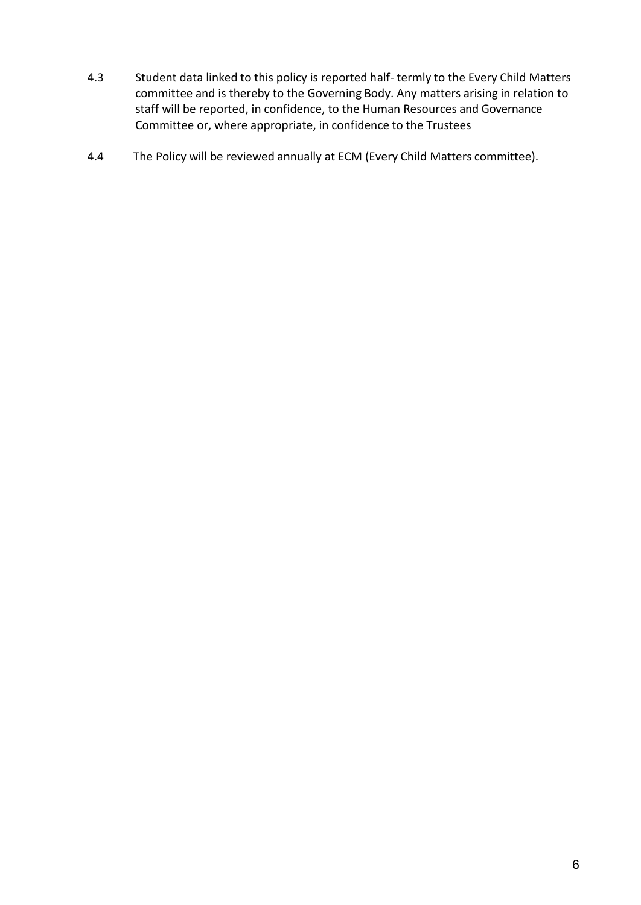- 4.3 Student data linked to this policy is reported half- termly to the Every Child Matters committee and is thereby to the Governing Body. Any matters arising in relation to staff will be reported, in confidence, to the Human Resources and Governance Committee or, where appropriate, in confidence to the Trustees
- 4.4 The Policy will be reviewed annually at ECM (Every Child Matters committee).